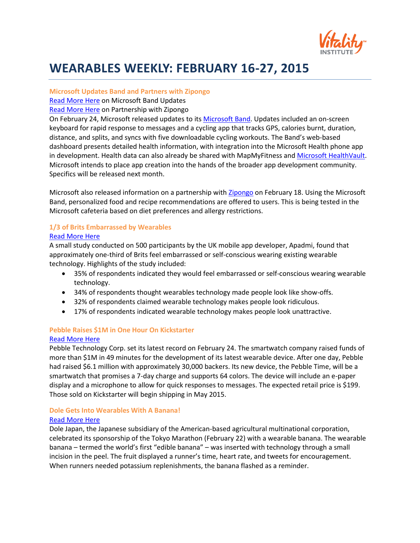

# **WEARABLES WEEKLY: FEBRUARY 16-27, 2015**

#### **Microsoft Updates Band and Partners with Zipongo**

[Read More Here](http://www.cnet.com/news/microsoft-band-update-adds-new-tools-a-keyboard-and-an-sdk-for-apps/) on Microsoft Band Updates

[Read More Here](http://www.microsoft.com/en-us/health/blogs/an-amazing-windows-phone-app-to-make-eating-healthier-easier/default.aspx#fbid=zxe65pg3w_V) on Partnership with Zipongo

On February 24, Microsoft released updates to it[s Microsoft Band.](http://www.microsoft.com/Microsoft-Band/en-us) Updates included an on-screen keyboard for rapid response to messages and a cycling app that tracks GPS, calories burnt, duration, distance, and splits, and syncs with five downloadable cycling workouts. The Band's web-based dashboard presents detailed health information, with integration into the Microsoft Health phone app in development. Health data can also already be shared with MapMyFitness and [Microsoft HealthVault.](https://www.healthvault.com/us/en) Microsoft intends to place app creation into the hands of the broader app development community. Specifics will be released next month.

Microsoft also released information on a partnership with [Zipongo](https://www.zipongo.com/) on February 18. Using the Microsoft Band, personalized food and recipe recommendations are offered to users. This is being tested in the Microsoft cafeteria based on diet preferences and allergy restrictions.

### **1/3 of Brits Embarrassed by Wearables** [Read More Here](http://betanews.com/2015/02/24/a-third-of-brits-embarrassed-by-wearables/)

A small study conducted on 500 participants by the UK mobile app developer, Apadmi, found that approximately one-third of Brits feel embarrassed or self-conscious wearing existing wearable technology. Highlights of the study included:

- 35% of respondents indicated they would feel embarrassed or self-conscious wearing wearable technology.
- 34% of respondents thought wearables technology made people look like show-offs.
- 32% of respondents claimed wearable technology makes people look ridiculous.
- 17% of respondents indicated wearable technology makes people look unattractive.

#### **Pebble Raises \$1M in One Hour On Kickstarter**

#### [Read More](http://bits.blogs.nytimes.com/2015/02/24/pebble-watch-goes-color-on-kickstarter/?smprod=nytcore-iphone&smid=nytcore-iphone-share) Here

Pebble Technology Corp. set its latest record on February 24. The smartwatch company raised funds of more than \$1M in 49 minutes for the development of its latest wearable device. After one day, Pebble had raised \$6.1 million with approximately 30,000 backers. Its new device, the Pebble Time, will be a smartwatch that promises a 7-day charge and supports 64 colors. The device will include an e-paper display and a microphone to allow for quick responses to messages. The expected retail price is \$199. Those sold on Kickstarter will begin shipping in May 2015.

# **Dole Gets Into Wearables With A Banana!**

#### [Read More Here](http://blogs.wsj.com/japanrealtime/2015/02/20/wearable-banana-watch-coming-to-tokyo-marathon/)

Dole Japan, the Japanese subsidiary of the American-based agricultural multinational corporation, celebrated its sponsorship of the Tokyo Marathon (February 22) with a wearable banana. The wearable banana – termed the world's first "edible banana" – was inserted with technology through a small incision in the peel. The fruit displayed a runner's time, heart rate, and tweets for encouragement. When runners needed potassium replenishments, the banana flashed as a reminder.